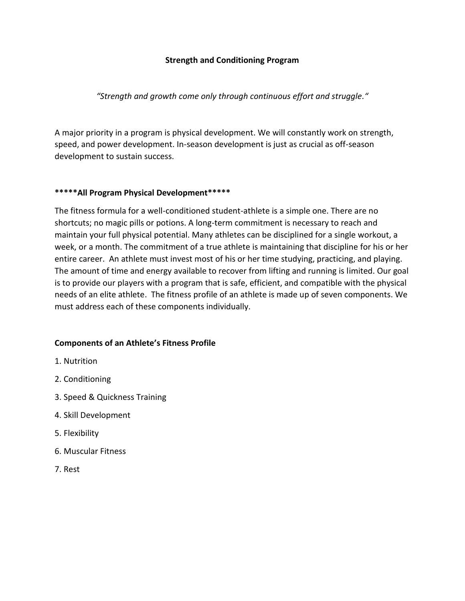### **Strength and Conditioning Program**

*"Strength and growth come only through continuous effort and struggle."*

A major priority in a program is physical development. We will constantly work on strength, speed, and power development. In-season development is just as crucial as off-season development to sustain success.

## **\*\*\*\*\*All Program Physical Development\*\*\*\*\***

The fitness formula for a well-conditioned student-athlete is a simple one. There are no shortcuts; no magic pills or potions. A long-term commitment is necessary to reach and maintain your full physical potential. Many athletes can be disciplined for a single workout, a week, or a month. The commitment of a true athlete is maintaining that discipline for his or her entire career. An athlete must invest most of his or her time studying, practicing, and playing. The amount of time and energy available to recover from lifting and running is limited. Our goal is to provide our players with a program that is safe, efficient, and compatible with the physical needs of an elite athlete. The fitness profile of an athlete is made up of seven components. We must address each of these components individually.

#### **Components of an Athlete's Fitness Profile**

- 1. Nutrition
- 2. Conditioning
- 3. Speed & Quickness Training
- 4. Skill Development
- 5. Flexibility
- 6. Muscular Fitness
- 7. Rest